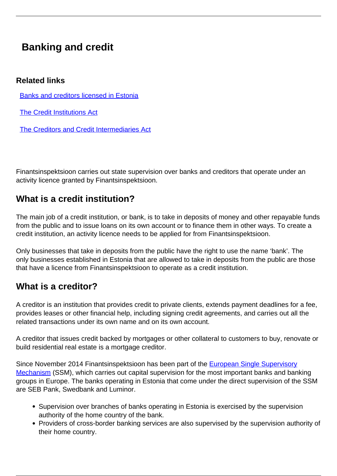## **Banking and credit**

## **Related links**

[Banks and creditors licensed in Estonia](/en/banking-and-credit)

[The Credit Institutions Act](https://www.riigiteataja.ee/en/eli/523052018002/consolide)

[The Creditors and Credit Intermediaries Act](https://www.riigiteataja.ee/en/eli/510012018004/consolide)

Finantsinspektsioon carries out state supervision over banks and creditors that operate under an activity licence granted by Finantsinspektsioon.

## **What is a credit institution?**

The main job of a credit institution, or bank, is to take in deposits of money and other repayable funds from the public and to issue loans on its own account or to finance them in other ways. To create a credit institution, an activity licence needs to be applied for from Finantsinspektsioon.

Only businesses that take in deposits from the public have the right to use the name 'bank'. The only businesses established in Estonia that are allowed to take in deposits from the public are those that have a licence from Finantsinspektsioon to operate as a credit institution.

## **What is a creditor?**

A creditor is an institution that provides credit to private clients, extends payment deadlines for a fee, provides leases or other financial help, including signing credit agreements, and carries out all the related transactions under its own name and on its own account.

A creditor that issues credit backed by mortgages or other collateral to customers to buy, renovate or build residential real estate is a mortgage creditor.

Since November 2014 Finantsinspektsioon has been part of the **[European Single Supervisory](https://www.bankingsupervision.europa.eu/home/html/index.en.html)** [Mechanism](https://www.bankingsupervision.europa.eu/home/html/index.en.html) (SSM), which carries out capital supervision for the most important banks and banking groups in Europe. The banks operating in Estonia that come under the direct supervision of the SSM are SEB Pank, Swedbank and Luminor.

- Supervision over branches of banks operating in Estonia is exercised by the supervision authority of the home country of the bank.
- Providers of cross-border banking services are also supervised by the supervision authority of their home country.